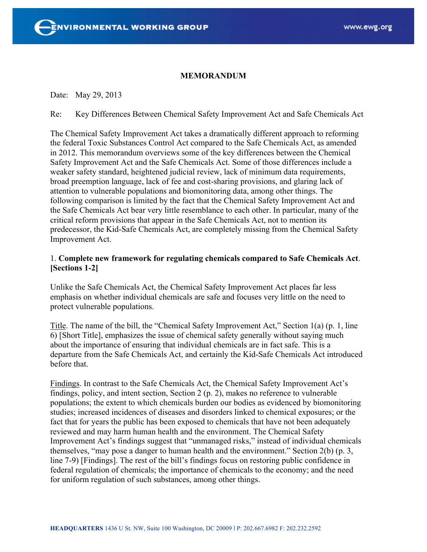#### **MEMORANDUM**

Date: May 29, 2013

Re: Key Differences Between Chemical Safety Improvement Act and Safe Chemicals Act

The Chemical Safety Improvement Act takes a dramatically different approach to reforming the federal Toxic Substances Control Act compared to the Safe Chemicals Act, as amended in 2012. This memorandum overviews some of the key differences between the Chemical Safety Improvement Act and the Safe Chemicals Act. Some of those differences include a weaker safety standard, heightened judicial review, lack of minimum data requirements, broad preemption language, lack of fee and cost-sharing provisions, and glaring lack of attention to vulnerable populations and biomonitoring data, among other things. The following comparison is limited by the fact that the Chemical Safety Improvement Act and the Safe Chemicals Act bear very little resemblance to each other. In particular, many of the critical reform provisions that appear in the Safe Chemicals Act, not to mention its predecessor, the Kid-Safe Chemicals Act, are completely missing from the Chemical Safety Improvement Act.

# 1. **Complete new framework for regulating chemicals compared to Safe Chemicals Act**. **[Sections 1-2]**

Unlike the Safe Chemicals Act, the Chemical Safety Improvement Act places far less emphasis on whether individual chemicals are safe and focuses very little on the need to protect vulnerable populations.

Title. The name of the bill, the "Chemical Safety Improvement Act," Section 1(a) (p. 1, line 6) [Short Title], emphasizes the issue of chemical safety generally without saying much about the importance of ensuring that individual chemicals are in fact safe. This is a departure from the Safe Chemicals Act, and certainly the Kid-Safe Chemicals Act introduced before that.

Findings. In contrast to the Safe Chemicals Act, the Chemical Safety Improvement Act's findings, policy, and intent section, Section 2 (p. 2), makes no reference to vulnerable populations; the extent to which chemicals burden our bodies as evidenced by biomonitoring studies; increased incidences of diseases and disorders linked to chemical exposures; or the fact that for years the public has been exposed to chemicals that have not been adequately reviewed and may harm human health and the environment. The Chemical Safety Improvement Act's findings suggest that "unmanaged risks," instead of individual chemicals themselves, "may pose a danger to human health and the environment." Section 2(b) (p. 3, line 7-9) [Findings]. The rest of the bill's findings focus on restoring public confidence in federal regulation of chemicals; the importance of chemicals to the economy; and the need for uniform regulation of such substances, among other things.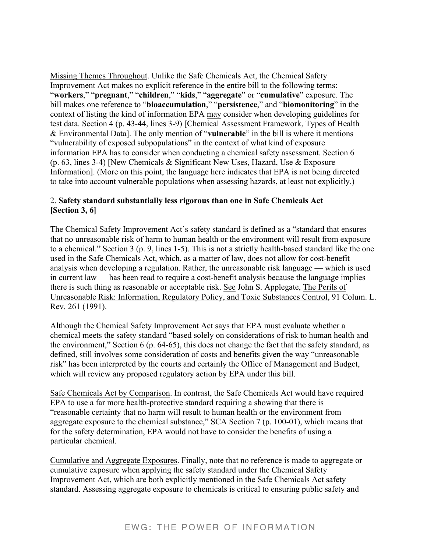Missing Themes Throughout. Unlike the Safe Chemicals Act, the Chemical Safety Improvement Act makes no explicit reference in the entire bill to the following terms: "**workers**," "**pregnant**," "**children**," "**kids**," "**aggregate**" or "**cumulative**" exposure. The bill makes one reference to "**bioaccumulation**," "**persistence**," and "**biomonitoring**" in the context of listing the kind of information EPA may consider when developing guidelines for test data. Section 4 (p. 43-44, lines 3-9) [Chemical Assessment Framework, Types of Health & Environmental Data]. The only mention of "**vulnerable**" in the bill is where it mentions "vulnerability of exposed subpopulations" in the context of what kind of exposure information EPA has to consider when conducting a chemical safety assessment. Section 6 (p. 63, lines 3-4) [New Chemicals & Significant New Uses, Hazard, Use & Exposure Information]. (More on this point, the language here indicates that EPA is not being directed to take into account vulnerable populations when assessing hazards, at least not explicitly.)

## 2. **Safety standard substantially less rigorous than one in Safe Chemicals Act [Section 3, 6]**

The Chemical Safety Improvement Act's safety standard is defined as a "standard that ensures that no unreasonable risk of harm to human health or the environment will result from exposure to a chemical." Section 3 (p. 9, lines 1-5). This is not a strictly health-based standard like the one used in the Safe Chemicals Act, which, as a matter of law, does not allow for cost-benefit analysis when developing a regulation. Rather, the unreasonable risk language — which is used in current law — has been read to require a cost-benefit analysis because the language implies there is such thing as reasonable or acceptable risk. See John S. Applegate, The Perils of Unreasonable Risk: Information, Regulatory Policy, and Toxic Substances Control, 91 Colum. L. Rev. 261 (1991).

Although the Chemical Safety Improvement Act says that EPA must evaluate whether a chemical meets the safety standard "based solely on considerations of risk to human health and the environment," Section 6 (p. 64-65), this does not change the fact that the safety standard, as defined, still involves some consideration of costs and benefits given the way "unreasonable risk" has been interpreted by the courts and certainly the Office of Management and Budget, which will review any proposed regulatory action by EPA under this bill.

Safe Chemicals Act by Comparison. In contrast, the Safe Chemicals Act would have required EPA to use a far more health-protective standard requiring a showing that there is "reasonable certainty that no harm will result to human health or the environment from aggregate exposure to the chemical substance," SCA Section 7 (p. 100-01), which means that for the safety determination, EPA would not have to consider the benefits of using a particular chemical.

Cumulative and Aggregate Exposures. Finally, note that no reference is made to aggregate or cumulative exposure when applying the safety standard under the Chemical Safety Improvement Act, which are both explicitly mentioned in the Safe Chemicals Act safety standard. Assessing aggregate exposure to chemicals is critical to ensuring public safety and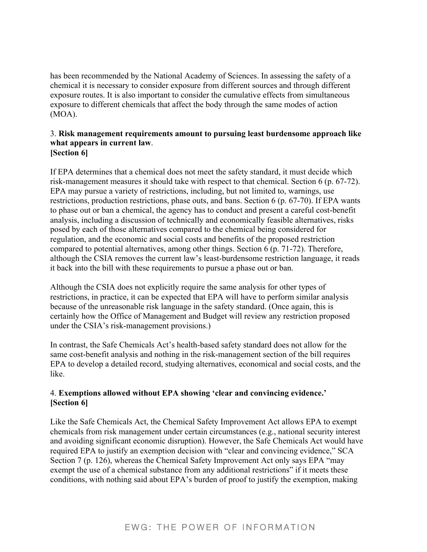has been recommended by the National Academy of Sciences. In assessing the safety of a chemical it is necessary to consider exposure from different sources and through different exposure routes. It is also important to consider the cumulative effects from simultaneous exposure to different chemicals that affect the body through the same modes of action (MOA).

#### 3. **Risk management requirements amount to pursuing least burdensome approach like what appears in current law**. **[Section 6]**

If EPA determines that a chemical does not meet the safety standard, it must decide which risk-management measures it should take with respect to that chemical. Section 6 (p. 67-72). EPA may pursue a variety of restrictions, including, but not limited to, warnings, use restrictions, production restrictions, phase outs, and bans. Section 6 (p. 67-70). If EPA wants to phase out or ban a chemical, the agency has to conduct and present a careful cost-benefit analysis, including a discussion of technically and economically feasible alternatives, risks posed by each of those alternatives compared to the chemical being considered for regulation, and the economic and social costs and benefits of the proposed restriction compared to potential alternatives, among other things. Section 6 (p. 71-72). Therefore, although the CSIA removes the current law's least-burdensome restriction language, it reads it back into the bill with these requirements to pursue a phase out or ban.

Although the CSIA does not explicitly require the same analysis for other types of restrictions, in practice, it can be expected that EPA will have to perform similar analysis because of the unreasonable risk language in the safety standard. (Once again, this is certainly how the Office of Management and Budget will review any restriction proposed under the CSIA's risk-management provisions.)

In contrast, the Safe Chemicals Act's health-based safety standard does not allow for the same cost-benefit analysis and nothing in the risk-management section of the bill requires EPA to develop a detailed record, studying alternatives, economical and social costs, and the like.

# 4. **Exemptions allowed without EPA showing 'clear and convincing evidence.' [Section 6]**

Like the Safe Chemicals Act, the Chemical Safety Improvement Act allows EPA to exempt chemicals from risk management under certain circumstances (e.g., national security interest and avoiding significant economic disruption). However, the Safe Chemicals Act would have required EPA to justify an exemption decision with "clear and convincing evidence," SCA Section 7 (p. 126), whereas the Chemical Safety Improvement Act only says EPA "may exempt the use of a chemical substance from any additional restrictions" if it meets these conditions, with nothing said about EPA's burden of proof to justify the exemption, making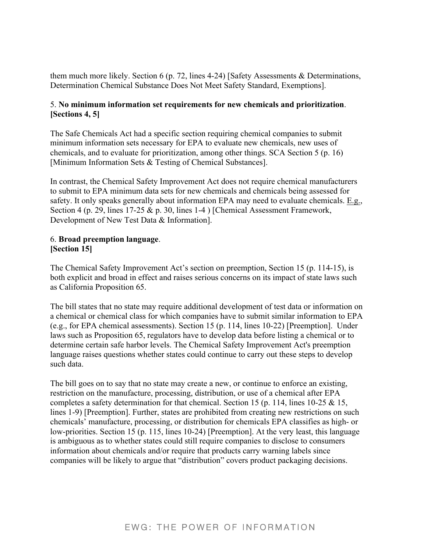them much more likely. Section 6 (p. 72, lines 4-24) [Safety Assessments & Determinations, Determination Chemical Substance Does Not Meet Safety Standard, Exemptions].

## 5. **No minimum information set requirements for new chemicals and prioritization**. **[Sections 4, 5]**

The Safe Chemicals Act had a specific section requiring chemical companies to submit minimum information sets necessary for EPA to evaluate new chemicals, new uses of chemicals, and to evaluate for prioritization, among other things. SCA Section 5 (p. 16) [Minimum Information Sets & Testing of Chemical Substances].

In contrast, the Chemical Safety Improvement Act does not require chemical manufacturers to submit to EPA minimum data sets for new chemicals and chemicals being assessed for safety. It only speaks generally about information EPA may need to evaluate chemicals. E.g., Section 4 (p. 29, lines 17-25 & p. 30, lines 1-4 ) [Chemical Assessment Framework, Development of New Test Data & Information].

## 6. **Broad preemption language**. **[Section 15]**

The Chemical Safety Improvement Act's section on preemption, Section 15 (p. 114-15), is both explicit and broad in effect and raises serious concerns on its impact of state laws such as California Proposition 65.

The bill states that no state may require additional development of test data or information on a chemical or chemical class for which companies have to submit similar information to EPA (e.g., for EPA chemical assessments). Section 15 (p. 114, lines 10-22) [Preemption]. Under laws such as Proposition 65, regulators have to develop data before listing a chemical or to determine certain safe harbor levels. The Chemical Safety Improvement Act's preemption language raises questions whether states could continue to carry out these steps to develop such data.

The bill goes on to say that no state may create a new, or continue to enforce an existing, restriction on the manufacture, processing, distribution, or use of a chemical after EPA completes a safety determination for that chemical. Section 15 (p. 114, lines 10-25 & 15, lines 1-9) [Preemption]. Further, states are prohibited from creating new restrictions on such chemicals' manufacture, processing, or distribution for chemicals EPA classifies as high- or low-priorities. Section 15 (p. 115, lines 10-24) [Preemption]. At the very least, this language is ambiguous as to whether states could still require companies to disclose to consumers information about chemicals and/or require that products carry warning labels since companies will be likely to argue that "distribution" covers product packaging decisions.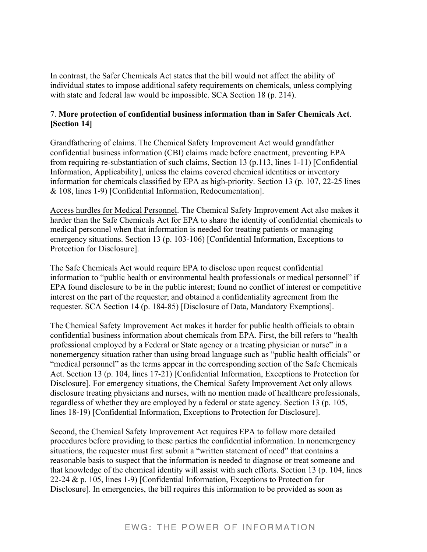In contrast, the Safer Chemicals Act states that the bill would not affect the ability of individual states to impose additional safety requirements on chemicals, unless complying with state and federal law would be impossible. SCA Section 18 (p. 214).

## 7. **More protection of confidential business information than in Safer Chemicals Act**. **[Section 14]**

Grandfathering of claims. The Chemical Safety Improvement Act would grandfather confidential business information (CBI) claims made before enactment, preventing EPA from requiring re-substantiation of such claims, Section 13 (p.113, lines 1-11) [Confidential Information, Applicability], unless the claims covered chemical identities or inventory information for chemicals classified by EPA as high-priority. Section 13 (p. 107, 22-25 lines & 108, lines 1-9) [Confidential Information, Redocumentation].

Access hurdles for Medical Personnel. The Chemical Safety Improvement Act also makes it harder than the Safe Chemicals Act for EPA to share the identity of confidential chemicals to medical personnel when that information is needed for treating patients or managing emergency situations. Section 13 (p. 103-106) [Confidential Information, Exceptions to Protection for Disclosure].

The Safe Chemicals Act would require EPA to disclose upon request confidential information to "public health or environmental health professionals or medical personnel" if EPA found disclosure to be in the public interest; found no conflict of interest or competitive interest on the part of the requester; and obtained a confidentiality agreement from the requester. SCA Section 14 (p. 184-85) [Disclosure of Data, Mandatory Exemptions].

The Chemical Safety Improvement Act makes it harder for public health officials to obtain confidential business information about chemicals from EPA. First, the bill refers to "health professional employed by a Federal or State agency or a treating physician or nurse" in a nonemergency situation rather than using broad language such as "public health officials" or "medical personnel" as the terms appear in the corresponding section of the Safe Chemicals Act. Section 13 (p. 104, lines 17-21) [Confidential Information, Exceptions to Protection for Disclosure]. For emergency situations, the Chemical Safety Improvement Act only allows disclosure treating physicians and nurses, with no mention made of healthcare professionals, regardless of whether they are employed by a federal or state agency. Section 13 (p. 105, lines 18-19) [Confidential Information, Exceptions to Protection for Disclosure].

Second, the Chemical Safety Improvement Act requires EPA to follow more detailed procedures before providing to these parties the confidential information. In nonemergency situations, the requester must first submit a "written statement of need" that contains a reasonable basis to suspect that the information is needed to diagnose or treat someone and that knowledge of the chemical identity will assist with such efforts. Section 13 (p. 104, lines 22-24  $\&$  p. 105, lines 1-9) [Confidential Information, Exceptions to Protection for Disclosure]. In emergencies, the bill requires this information to be provided as soon as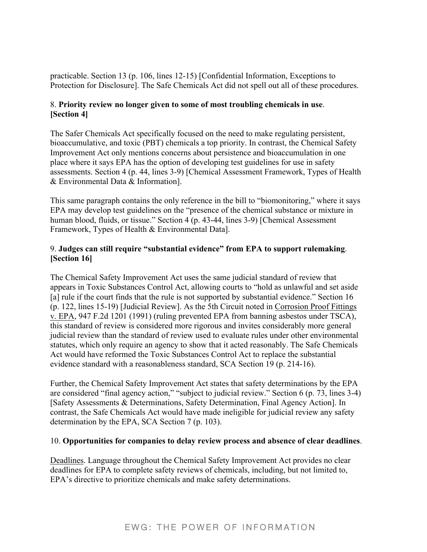practicable. Section 13 (p. 106, lines 12-15) [Confidential Information, Exceptions to Protection for Disclosure]. The Safe Chemicals Act did not spell out all of these procedures.

# 8. **Priority review no longer given to some of most troubling chemicals in use**. **[Section 4]**

The Safer Chemicals Act specifically focused on the need to make regulating persistent, bioaccumulative, and toxic (PBT) chemicals a top priority. In contrast, the Chemical Safety Improvement Act only mentions concerns about persistence and bioaccumulation in one place where it says EPA has the option of developing test guidelines for use in safety assessments. Section 4 (p. 44, lines 3-9) [Chemical Assessment Framework, Types of Health & Environmental Data & Information].

This same paragraph contains the only reference in the bill to "biomonitoring," where it says EPA may develop test guidelines on the "presence of the chemical substance or mixture in human blood, fluids, or tissue." Section 4 (p. 43-44, lines 3-9) [Chemical Assessment Framework, Types of Health & Environmental Data].

# 9. **Judges can still require "substantial evidence" from EPA to support rulemaking**. **[Section 16]**

The Chemical Safety Improvement Act uses the same judicial standard of review that appears in Toxic Substances Control Act, allowing courts to "hold as unlawful and set aside [a] rule if the court finds that the rule is not supported by substantial evidence." Section 16 (p. 122, lines 15-19) [Judicial Review]. As the 5th Circuit noted in Corrosion Proof Fittings v. EPA, 947 F.2d 1201 (1991) (ruling prevented EPA from banning asbestos under TSCA), this standard of review is considered more rigorous and invites considerably more general judicial review than the standard of review used to evaluate rules under other environmental statutes, which only require an agency to show that it acted reasonably. The Safe Chemicals Act would have reformed the Toxic Substances Control Act to replace the substantial evidence standard with a reasonableness standard, SCA Section 19 (p. 214-16).

Further, the Chemical Safety Improvement Act states that safety determinations by the EPA are considered "final agency action," "subject to judicial review." Section 6 (p. 73, lines 3-4) [Safety Assessments & Determinations, Safety Determination, Final Agency Action]. In contrast, the Safe Chemicals Act would have made ineligible for judicial review any safety determination by the EPA, SCA Section 7 (p. 103).

#### 10. **Opportunities for companies to delay review process and absence of clear deadlines**.

Deadlines. Language throughout the Chemical Safety Improvement Act provides no clear deadlines for EPA to complete safety reviews of chemicals, including, but not limited to, EPA's directive to prioritize chemicals and make safety determinations.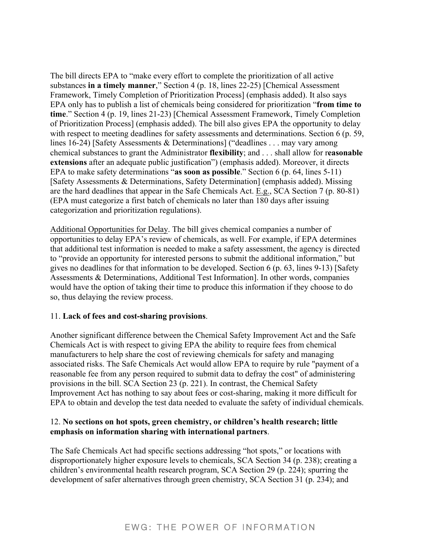The bill directs EPA to "make every effort to complete the prioritization of all active substances **in a timely manner**," Section 4 (p. 18, lines 22-25) [Chemical Assessment Framework, Timely Completion of Prioritization Process] (emphasis added). It also says EPA only has to publish a list of chemicals being considered for prioritization "**from time to time**." Section 4 (p. 19, lines 21-23) [Chemical Assessment Framework, Timely Completion of Prioritization Process] (emphasis added). The bill also gives EPA the opportunity to delay with respect to meeting deadlines for safety assessments and determinations. Section 6 (p. 59, lines 16-24) [Safety Assessments & Determinations] ("deadlines . . . may vary among chemical substances to grant the Administrator **flexibility**; and . . . shall allow for r**easonable extensions** after an adequate public justification") (emphasis added). Moreover, it directs EPA to make safety determinations "**as soon as possible**." Section 6 (p. 64, lines 5-11) [Safety Assessments & Determinations, Safety Determination] (emphasis added). Missing are the hard deadlines that appear in the Safe Chemicals Act. E.g., SCA Section 7 (p. 80-81) (EPA must categorize a first batch of chemicals no later than 180 days after issuing categorization and prioritization regulations).

Additional Opportunities for Delay. The bill gives chemical companies a number of opportunities to delay EPA's review of chemicals, as well. For example, if EPA determines that additional test information is needed to make a safety assessment, the agency is directed to "provide an opportunity for interested persons to submit the additional information," but gives no deadlines for that information to be developed. Section 6 (p. 63, lines 9-13) [Safety Assessments & Determinations, Additional Test Information]. In other words, companies would have the option of taking their time to produce this information if they choose to do so, thus delaying the review process.

#### 11. **Lack of fees and cost-sharing provisions**.

Another significant difference between the Chemical Safety Improvement Act and the Safe Chemicals Act is with respect to giving EPA the ability to require fees from chemical manufacturers to help share the cost of reviewing chemicals for safety and managing associated risks. The Safe Chemicals Act would allow EPA to require by rule "payment of a reasonable fee from any person required to submit data to defray the cost" of administering provisions in the bill. SCA Section 23 (p. 221). In contrast, the Chemical Safety Improvement Act has nothing to say about fees or cost-sharing, making it more difficult for EPA to obtain and develop the test data needed to evaluate the safety of individual chemicals.

# 12. **No sections on hot spots, green chemistry, or children's health research; little emphasis on information sharing with international partners**.

The Safe Chemicals Act had specific sections addressing "hot spots," or locations with disproportionately higher exposure levels to chemicals, SCA Section 34 (p. 238); creating a children's environmental health research program, SCA Section 29 (p. 224); spurring the development of safer alternatives through green chemistry, SCA Section 31 (p. 234); and